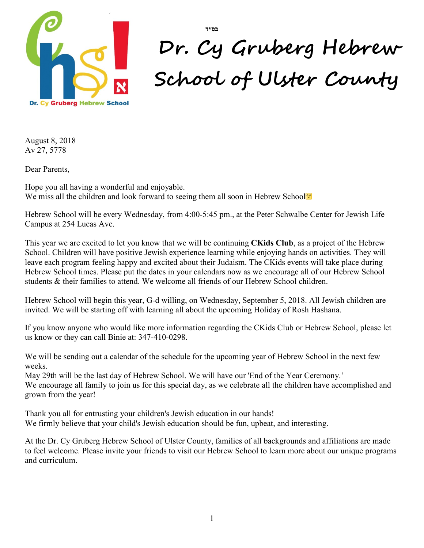

# **Dr. Cy Gruberg Hebrew School of Ulster County**

August 8, 2018 Av 27, 5778

Dear Parents,

Hope you all having a wonderful and enjoyable. We miss all the children and look forward to seeing them all soon in Hebrew School<sup>n</sup>

Hebrew School will be every Wednesday, from 4:00-5:45 pm., at the Peter Schwalbe Center for Jewish Life Campus at 254 Lucas Ave.

**בס״ד**

This year we are excited to let you know that we will be continuing **CKids Club**, as a project of the Hebrew School. Children will have positive Jewish experience learning while enjoying hands on activities. They will leave each program feeling happy and excited about their Judaism. The CKids events will take place during Hebrew School times. Please put the dates in your calendars now as we encourage all of our Hebrew School students & their families to attend. We welcome all friends of our Hebrew School children.

Hebrew School will begin this year, G-d willing, on Wednesday, September 5, 2018. All Jewish children are invited. We will be starting off with learning all about the upcoming Holiday of Rosh Hashana.

If you know anyone who would like more information regarding the CKids Club or Hebrew School, please let us know or they can call Binie at: 347-410-0298.

We will be sending out a calendar of the schedule for the upcoming year of Hebrew School in the next few weeks.

May 29th will be the last day of Hebrew School. We will have our 'End of the Year Ceremony.'

We encourage all family to join us for this special day, as we celebrate all the children have accomplished and grown from the year!

Thank you all for entrusting your children's Jewish education in our hands! We firmly believe that your child's Jewish education should be fun, upbeat, and interesting.

At the Dr. Cy Gruberg Hebrew School of Ulster County, families of all backgrounds and affiliations are made to feel welcome. Please invite your friends to visit our Hebrew School to learn more about our unique programs and curriculum.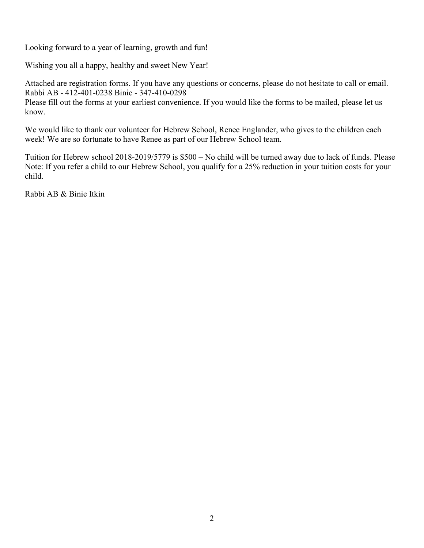Looking forward to a year of learning, growth and fun!

Wishing you all a happy, healthy and sweet New Year!

Attached are registration forms. If you have any questions or concerns, please do not hesitate to call or email. Rabbi AB - 412-401-0238 Binie - 347-410-0298 Please fill out the forms at your earliest convenience. If you would like the forms to be mailed, please let us know.

We would like to thank our volunteer for Hebrew School, Renee Englander, who gives to the children each week! We are so fortunate to have Renee as part of our Hebrew School team.

Tuition for Hebrew school 2018-2019/5779 is \$500 – No child will be turned away due to lack of funds. Please Note: If you refer a child to our Hebrew School, you qualify for a 25% reduction in your tuition costs for your child.

Rabbi AB & Binie Itkin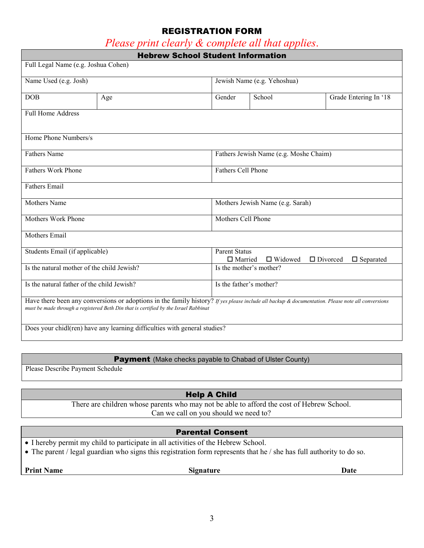## REGISTRATION FORM

## *Please print clearly & complete all that applies*.

|                                            | <b>Hebrew School Student Information</b>                                                                                                                                                                                                 |                                  |                                                                                                    |                       |  |
|--------------------------------------------|------------------------------------------------------------------------------------------------------------------------------------------------------------------------------------------------------------------------------------------|----------------------------------|----------------------------------------------------------------------------------------------------|-----------------------|--|
| Full Legal Name (e.g. Joshua Cohen)        |                                                                                                                                                                                                                                          |                                  |                                                                                                    |                       |  |
| Name Used (e.g. Josh)                      |                                                                                                                                                                                                                                          | Jewish Name (e.g. Yehoshua)      |                                                                                                    |                       |  |
| <b>DOB</b>                                 | Age                                                                                                                                                                                                                                      | Gender                           | School                                                                                             | Grade Entering In '18 |  |
| Full Home Address                          |                                                                                                                                                                                                                                          |                                  |                                                                                                    |                       |  |
| Home Phone Numbers/s                       |                                                                                                                                                                                                                                          |                                  |                                                                                                    |                       |  |
| <b>Fathers Name</b>                        |                                                                                                                                                                                                                                          |                                  | Fathers Jewish Name (e.g. Moshe Chaim)                                                             |                       |  |
| <b>Fathers Work Phone</b>                  |                                                                                                                                                                                                                                          |                                  | Fathers Cell Phone                                                                                 |                       |  |
| <b>Fathers Email</b>                       |                                                                                                                                                                                                                                          |                                  |                                                                                                    |                       |  |
| <b>Mothers</b> Name                        |                                                                                                                                                                                                                                          | Mothers Jewish Name (e.g. Sarah) |                                                                                                    |                       |  |
| Mothers Work Phone                         |                                                                                                                                                                                                                                          | Mothers Cell Phone               |                                                                                                    |                       |  |
| Mothers Email                              |                                                                                                                                                                                                                                          |                                  |                                                                                                    |                       |  |
| Students Email (if applicable)             |                                                                                                                                                                                                                                          |                                  | <b>Parent Status</b><br>$\Box$ Married<br>$\Box$ Widowed<br>$\Box$ Divorced<br>$\square$ Separated |                       |  |
| Is the natural mother of the child Jewish? |                                                                                                                                                                                                                                          |                                  | Is the mother's mother?                                                                            |                       |  |
|                                            | Is the natural father of the child Jewish?<br>Is the father's mother?                                                                                                                                                                    |                                  |                                                                                                    |                       |  |
|                                            | Have there been any conversions or adoptions in the family history? If yes please include all backup & documentation. Please note all conversions<br>must be made through a registered Beth Din that is certified by the Israel Rabbinat |                                  |                                                                                                    |                       |  |
|                                            | Does your chidl(ren) have any learning difficulties with general studies?                                                                                                                                                                |                                  |                                                                                                    |                       |  |

#### Payment (Make checks payable to Chabad of Ulster County)

Please Describe Payment Schedule

## Help A Child

There are children whose parents who may not be able to afford the cost of Hebrew School. Can we call on you should we need to?

#### Parental Consent

- I hereby permit my child to participate in all activities of the Hebrew School.
- The parent / legal guardian who signs this registration form represents that he / she has full authority to do so.

**Print Name Date Signature Date**